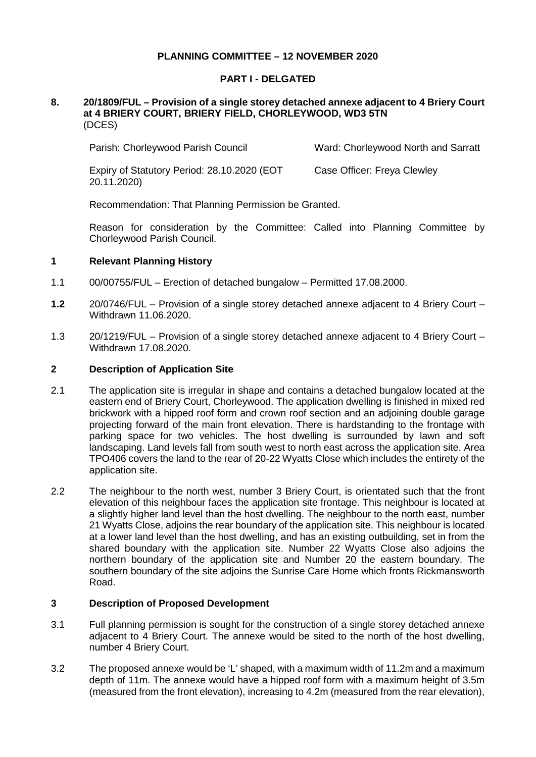# **PLANNING COMMITTEE – 12 NOVEMBER 2020**

# **PART I - DELGATED**

#### **8. 20/1809/FUL – Provision of a single storey detached annexe adjacent to 4 Briery Court at 4 BRIERY COURT, BRIERY FIELD, CHORLEYWOOD, WD3 5TN** (DCES)

Parish: Chorleywood Parish Council Ward: Chorleywood North and Sarratt

Expiry of Statutory Period: 28.10.2020 (EOT 20.11.2020) Case Officer: Freya Clewley

Recommendation: That Planning Permission be Granted.

Reason for consideration by the Committee: Called into Planning Committee by Chorleywood Parish Council.

#### **1 Relevant Planning History**

- 1.1 00/00755/FUL Erection of detached bungalow Permitted 17.08.2000.
- **1.2** 20/0746/FUL Provision of a single storey detached annexe adjacent to 4 Briery Court Withdrawn 11.06.2020.
- 1.3 20/1219/FUL Provision of a single storey detached annexe adjacent to 4 Briery Court Withdrawn 17.08.2020.

#### **2 Description of Application Site**

- 2.1 The application site is irregular in shape and contains a detached bungalow located at the eastern end of Briery Court, Chorleywood. The application dwelling is finished in mixed red brickwork with a hipped roof form and crown roof section and an adjoining double garage projecting forward of the main front elevation. There is hardstanding to the frontage with parking space for two vehicles. The host dwelling is surrounded by lawn and soft landscaping. Land levels fall from south west to north east across the application site. Area TPO406 covers the land to the rear of 20-22 Wyatts Close which includes the entirety of the application site.
- 2.2 The neighbour to the north west, number 3 Briery Court, is orientated such that the front elevation of this neighbour faces the application site frontage. This neighbour is located at a slightly higher land level than the host dwelling. The neighbour to the north east, number 21 Wyatts Close, adjoins the rear boundary of the application site. This neighbour is located at a lower land level than the host dwelling, and has an existing outbuilding, set in from the shared boundary with the application site. Number 22 Wyatts Close also adjoins the northern boundary of the application site and Number 20 the eastern boundary. The southern boundary of the site adjoins the Sunrise Care Home which fronts Rickmansworth Road.

#### **3 Description of Proposed Development**

- 3.1 Full planning permission is sought for the construction of a single storey detached annexe adjacent to 4 Briery Court. The annexe would be sited to the north of the host dwelling, number 4 Briery Court.
- 3.2 The proposed annexe would be 'L' shaped, with a maximum width of 11.2m and a maximum depth of 11m. The annexe would have a hipped roof form with a maximum height of 3.5m (measured from the front elevation), increasing to 4.2m (measured from the rear elevation),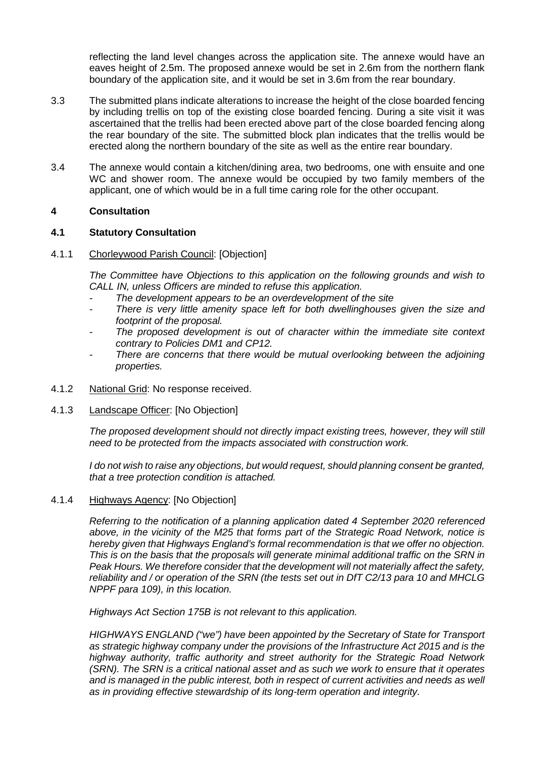reflecting the land level changes across the application site. The annexe would have an eaves height of 2.5m. The proposed annexe would be set in 2.6m from the northern flank boundary of the application site, and it would be set in 3.6m from the rear boundary.

- 3.3 The submitted plans indicate alterations to increase the height of the close boarded fencing by including trellis on top of the existing close boarded fencing. During a site visit it was ascertained that the trellis had been erected above part of the close boarded fencing along the rear boundary of the site. The submitted block plan indicates that the trellis would be erected along the northern boundary of the site as well as the entire rear boundary.
- 3.4 The annexe would contain a kitchen/dining area, two bedrooms, one with ensuite and one WC and shower room. The annexe would be occupied by two family members of the applicant, one of which would be in a full time caring role for the other occupant.

# **4 Consultation**

# **4.1 Statutory Consultation**

#### 4.1.1 Chorleywood Parish Council: [Objection]

*The Committee have Objections to this application on the following grounds and wish to CALL IN, unless Officers are minded to refuse this application.*

- *- The development appears to be an overdevelopment of the site*
- There is very little amenity space left for both dwellinghouses given the size and *footprint of the proposal.*
- *- The proposed development is out of character within the immediate site context contrary to Policies DM1 and CP12.*
- *- There are concerns that there would be mutual overlooking between the adjoining properties.*
- 4.1.2 National Grid: No response received.
- 4.1.3 Landscape Officer: [No Objection]

*The proposed development should not directly impact existing trees, however, they will still need to be protected from the impacts associated with construction work.*

*I do not wish to raise any objections, but would request, should planning consent be granted, that a tree protection condition is attached.* 

4.1.4 Highways Agency: [No Objection]

*Referring to the notification of a planning application dated 4 September 2020 referenced above, in the vicinity of the M25 that forms part of the Strategic Road Network, notice is hereby given that Highways England's formal recommendation is that we offer no objection. This is on the basis that the proposals will generate minimal additional traffic on the SRN in Peak Hours. We therefore consider that the development will not materially affect the safety, reliability and / or operation of the SRN (the tests set out in DfT C2/13 para 10 and MHCLG NPPF para 109), in this location.* 

*Highways Act Section 175B is not relevant to this application.*

*HIGHWAYS ENGLAND ("we") have been appointed by the Secretary of State for Transport as strategic highway company under the provisions of the Infrastructure Act 2015 and is the highway authority, traffic authority and street authority for the Strategic Road Network (SRN). The SRN is a critical national asset and as such we work to ensure that it operates and is managed in the public interest, both in respect of current activities and needs as well as in providing effective stewardship of its long-term operation and integrity.*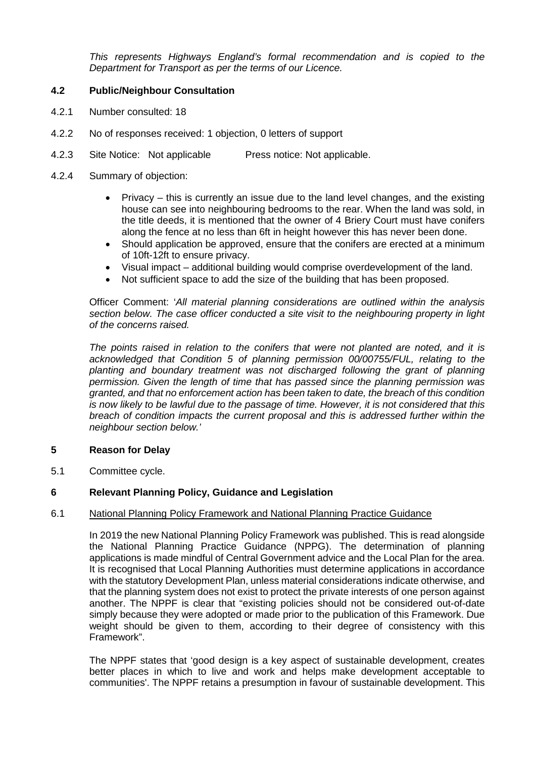*This represents Highways England's formal recommendation and is copied to the Department for Transport as per the terms of our Licence.*

# **4.2 Public/Neighbour Consultation**

- 4.2.1 Number consulted: 18
- 4.2.2 No of responses received: 1 objection, 0 letters of support
- 4.2.3 Site Notice: Not applicable Press notice: Not applicable.
- 4.2.4 Summary of objection:
	- Privacy this is currently an issue due to the land level changes, and the existing house can see into neighbouring bedrooms to the rear. When the land was sold, in the title deeds, it is mentioned that the owner of 4 Briery Court must have conifers along the fence at no less than 6ft in height however this has never been done.
	- Should application be approved, ensure that the conifers are erected at a minimum of 10ft-12ft to ensure privacy.
	- Visual impact additional building would comprise overdevelopment of the land.
	- Not sufficient space to add the size of the building that has been proposed.

Officer Comment: '*All material planning considerations are outlined within the analysis section below. The case officer conducted a site visit to the neighbouring property in light of the concerns raised.* 

*The points raised in relation to the conifers that were not planted are noted, and it is acknowledged that Condition 5 of planning permission 00/00755/FUL, relating to the planting and boundary treatment was not discharged following the grant of planning permission. Given the length of time that has passed since the planning permission was granted, and that no enforcement action has been taken to date, the breach of this condition is now likely to be lawful due to the passage of time. However, it is not considered that this breach of condition impacts the current proposal and this is addressed further within the neighbour section below.'*

# **5 Reason for Delay**

5.1 Committee cycle.

# **6 Relevant Planning Policy, Guidance and Legislation**

#### 6.1 National Planning Policy Framework and National Planning Practice Guidance

In 2019 the new National Planning Policy Framework was published. This is read alongside the National Planning Practice Guidance (NPPG). The determination of planning applications is made mindful of Central Government advice and the Local Plan for the area. It is recognised that Local Planning Authorities must determine applications in accordance with the statutory Development Plan, unless material considerations indicate otherwise, and that the planning system does not exist to protect the private interests of one person against another. The NPPF is clear that "existing policies should not be considered out-of-date simply because they were adopted or made prior to the publication of this Framework. Due weight should be given to them, according to their degree of consistency with this Framework".

The NPPF states that 'good design is a key aspect of sustainable development, creates better places in which to live and work and helps make development acceptable to communities'. The NPPF retains a presumption in favour of sustainable development. This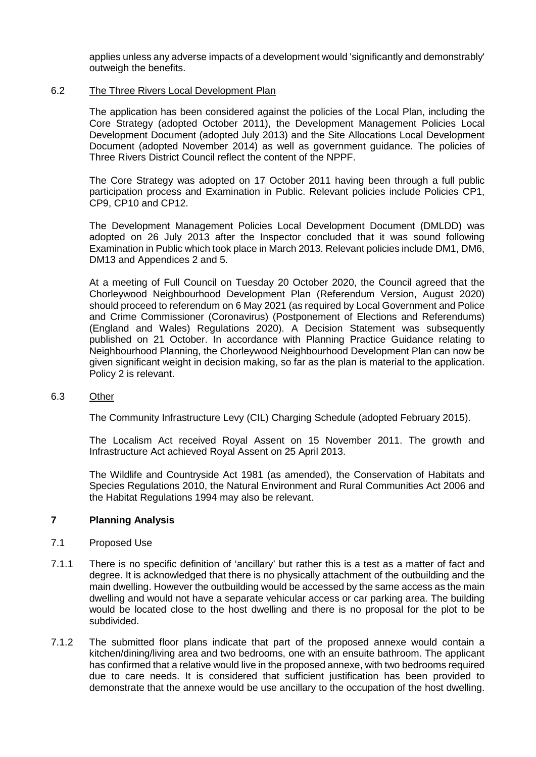applies unless any adverse impacts of a development would 'significantly and demonstrably' outweigh the benefits.

#### 6.2 The Three Rivers Local Development Plan

The application has been considered against the policies of the Local Plan, including the Core Strategy (adopted October 2011), the Development Management Policies Local Development Document (adopted July 2013) and the Site Allocations Local Development Document (adopted November 2014) as well as government guidance. The policies of Three Rivers District Council reflect the content of the NPPF.

The Core Strategy was adopted on 17 October 2011 having been through a full public participation process and Examination in Public. Relevant policies include Policies CP1, CP9, CP10 and CP12.

The Development Management Policies Local Development Document (DMLDD) was adopted on 26 July 2013 after the Inspector concluded that it was sound following Examination in Public which took place in March 2013. Relevant policies include DM1, DM6, DM13 and Appendices 2 and 5.

At a meeting of Full Council on Tuesday 20 October 2020, the Council agreed that the Chorleywood Neighbourhood Development Plan (Referendum Version, August 2020) should proceed to referendum on 6 May 2021 (as required by Local Government and Police and Crime Commissioner (Coronavirus) (Postponement of Elections and Referendums) (England and Wales) Regulations 2020). A Decision Statement was subsequently published on 21 October. In accordance with Planning Practice Guidance relating to Neighbourhood Planning, the Chorleywood Neighbourhood Development Plan can now be given significant weight in decision making, so far as the plan is material to the application. Policy 2 is relevant.

#### 6.3 Other

The Community Infrastructure Levy (CIL) Charging Schedule (adopted February 2015).

The Localism Act received Royal Assent on 15 November 2011. The growth and Infrastructure Act achieved Royal Assent on 25 April 2013.

The Wildlife and Countryside Act 1981 (as amended), the Conservation of Habitats and Species Regulations 2010, the Natural Environment and Rural Communities Act 2006 and the Habitat Regulations 1994 may also be relevant.

# **7 Planning Analysis**

#### 7.1 Proposed Use

- 7.1.1 There is no specific definition of 'ancillary' but rather this is a test as a matter of fact and degree. It is acknowledged that there is no physically attachment of the outbuilding and the main dwelling. However the outbuilding would be accessed by the same access as the main dwelling and would not have a separate vehicular access or car parking area. The building would be located close to the host dwelling and there is no proposal for the plot to be subdivided.
- 7.1.2 The submitted floor plans indicate that part of the proposed annexe would contain a kitchen/dining/living area and two bedrooms, one with an ensuite bathroom. The applicant has confirmed that a relative would live in the proposed annexe, with two bedrooms required due to care needs. It is considered that sufficient justification has been provided to demonstrate that the annexe would be use ancillary to the occupation of the host dwelling.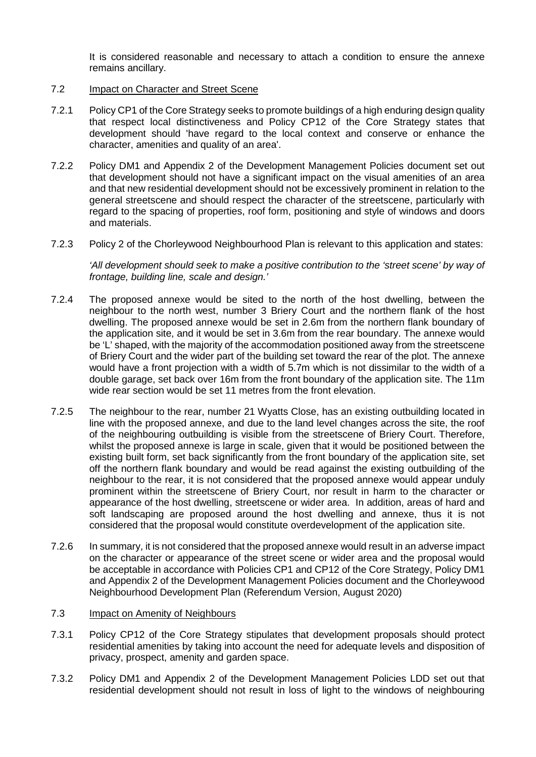It is considered reasonable and necessary to attach a condition to ensure the annexe remains ancillary.

#### 7.2 Impact on Character and Street Scene

- 7.2.1 Policy CP1 of the Core Strategy seeks to promote buildings of a high enduring design quality that respect local distinctiveness and Policy CP12 of the Core Strategy states that development should 'have regard to the local context and conserve or enhance the character, amenities and quality of an area'.
- 7.2.2 Policy DM1 and Appendix 2 of the Development Management Policies document set out that development should not have a significant impact on the visual amenities of an area and that new residential development should not be excessively prominent in relation to the general streetscene and should respect the character of the streetscene, particularly with regard to the spacing of properties, roof form, positioning and style of windows and doors and materials.
- 7.2.3 Policy 2 of the Chorleywood Neighbourhood Plan is relevant to this application and states:

*'All development should seek to make a positive contribution to the 'street scene' by way of frontage, building line, scale and design.'*

- 7.2.4 The proposed annexe would be sited to the north of the host dwelling, between the neighbour to the north west, number 3 Briery Court and the northern flank of the host dwelling. The proposed annexe would be set in 2.6m from the northern flank boundary of the application site, and it would be set in 3.6m from the rear boundary. The annexe would be 'L' shaped, with the majority of the accommodation positioned away from the streetscene of Briery Court and the wider part of the building set toward the rear of the plot. The annexe would have a front projection with a width of 5.7m which is not dissimilar to the width of a double garage, set back over 16m from the front boundary of the application site. The 11m wide rear section would be set 11 metres from the front elevation.
- 7.2.5 The neighbour to the rear, number 21 Wyatts Close, has an existing outbuilding located in line with the proposed annexe, and due to the land level changes across the site, the roof of the neighbouring outbuilding is visible from the streetscene of Briery Court. Therefore, whilst the proposed annexe is large in scale, given that it would be positioned between the existing built form, set back significantly from the front boundary of the application site, set off the northern flank boundary and would be read against the existing outbuilding of the neighbour to the rear, it is not considered that the proposed annexe would appear unduly prominent within the streetscene of Briery Court, nor result in harm to the character or appearance of the host dwelling, streetscene or wider area. In addition, areas of hard and soft landscaping are proposed around the host dwelling and annexe, thus it is not considered that the proposal would constitute overdevelopment of the application site.
- 7.2.6 In summary, it is not considered that the proposed annexe would result in an adverse impact on the character or appearance of the street scene or wider area and the proposal would be acceptable in accordance with Policies CP1 and CP12 of the Core Strategy, Policy DM1 and Appendix 2 of the Development Management Policies document and the Chorleywood Neighbourhood Development Plan (Referendum Version, August 2020)

# 7.3 Impact on Amenity of Neighbours

- 7.3.1 Policy CP12 of the Core Strategy stipulates that development proposals should protect residential amenities by taking into account the need for adequate levels and disposition of privacy, prospect, amenity and garden space.
- 7.3.2 Policy DM1 and Appendix 2 of the Development Management Policies LDD set out that residential development should not result in loss of light to the windows of neighbouring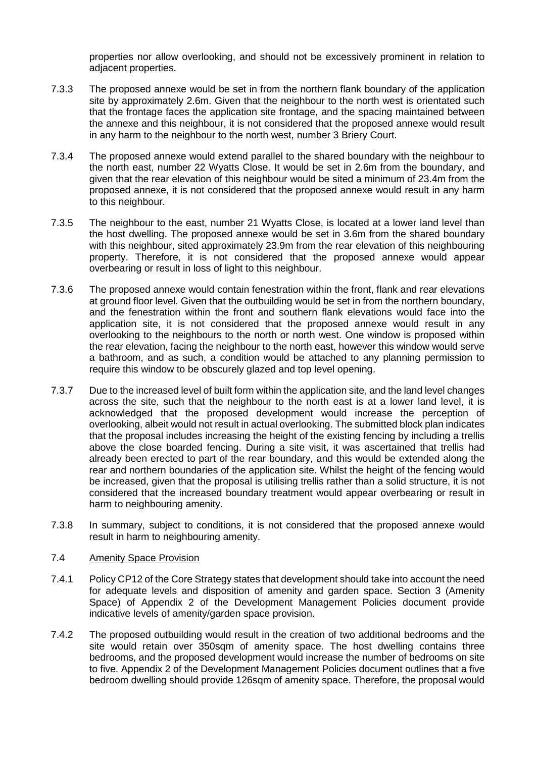properties nor allow overlooking, and should not be excessively prominent in relation to adjacent properties.

- 7.3.3 The proposed annexe would be set in from the northern flank boundary of the application site by approximately 2.6m. Given that the neighbour to the north west is orientated such that the frontage faces the application site frontage, and the spacing maintained between the annexe and this neighbour, it is not considered that the proposed annexe would result in any harm to the neighbour to the north west, number 3 Briery Court.
- 7.3.4 The proposed annexe would extend parallel to the shared boundary with the neighbour to the north east, number 22 Wyatts Close. It would be set in 2.6m from the boundary, and given that the rear elevation of this neighbour would be sited a minimum of 23.4m from the proposed annexe, it is not considered that the proposed annexe would result in any harm to this neighbour.
- 7.3.5 The neighbour to the east, number 21 Wyatts Close, is located at a lower land level than the host dwelling. The proposed annexe would be set in 3.6m from the shared boundary with this neighbour, sited approximately 23.9m from the rear elevation of this neighbouring property. Therefore, it is not considered that the proposed annexe would appear overbearing or result in loss of light to this neighbour.
- 7.3.6 The proposed annexe would contain fenestration within the front, flank and rear elevations at ground floor level. Given that the outbuilding would be set in from the northern boundary, and the fenestration within the front and southern flank elevations would face into the application site, it is not considered that the proposed annexe would result in any overlooking to the neighbours to the north or north west. One window is proposed within the rear elevation, facing the neighbour to the north east, however this window would serve a bathroom, and as such, a condition would be attached to any planning permission to require this window to be obscurely glazed and top level opening.
- 7.3.7 Due to the increased level of built form within the application site, and the land level changes across the site, such that the neighbour to the north east is at a lower land level, it is acknowledged that the proposed development would increase the perception of overlooking, albeit would not result in actual overlooking. The submitted block plan indicates that the proposal includes increasing the height of the existing fencing by including a trellis above the close boarded fencing. During a site visit, it was ascertained that trellis had already been erected to part of the rear boundary, and this would be extended along the rear and northern boundaries of the application site. Whilst the height of the fencing would be increased, given that the proposal is utilising trellis rather than a solid structure, it is not considered that the increased boundary treatment would appear overbearing or result in harm to neighbouring amenity.
- 7.3.8 In summary, subject to conditions, it is not considered that the proposed annexe would result in harm to neighbouring amenity.

# 7.4 Amenity Space Provision

- 7.4.1 Policy CP12 of the Core Strategy states that development should take into account the need for adequate levels and disposition of amenity and garden space. Section 3 (Amenity Space) of Appendix 2 of the Development Management Policies document provide indicative levels of amenity/garden space provision.
- 7.4.2 The proposed outbuilding would result in the creation of two additional bedrooms and the site would retain over 350sqm of amenity space. The host dwelling contains three bedrooms, and the proposed development would increase the number of bedrooms on site to five. Appendix 2 of the Development Management Policies document outlines that a five bedroom dwelling should provide 126sqm of amenity space. Therefore, the proposal would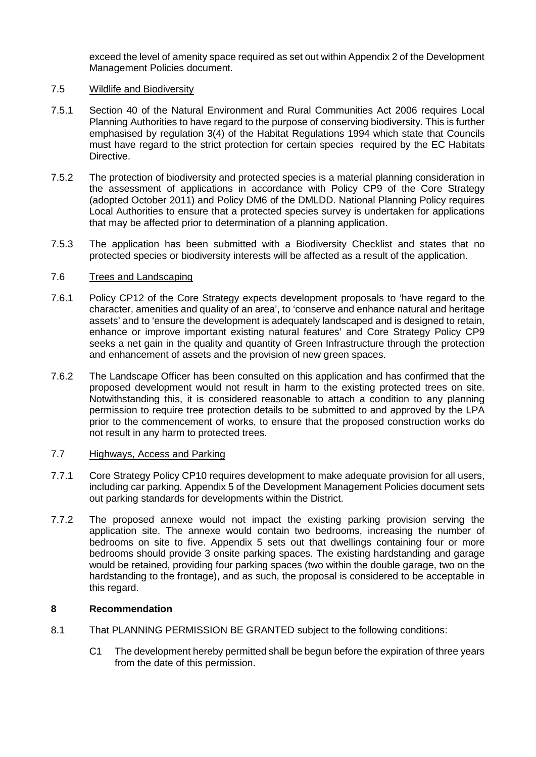exceed the level of amenity space required as set out within Appendix 2 of the Development Management Policies document.

#### 7.5 Wildlife and Biodiversity

- 7.5.1 Section 40 of the Natural Environment and Rural Communities Act 2006 requires Local Planning Authorities to have regard to the purpose of conserving biodiversity. This is further emphasised by regulation 3(4) of the Habitat Regulations 1994 which state that Councils must have regard to the strict protection for certain species required by the EC Habitats Directive.
- 7.5.2 The protection of biodiversity and protected species is a material planning consideration in the assessment of applications in accordance with Policy CP9 of the Core Strategy (adopted October 2011) and Policy DM6 of the DMLDD. National Planning Policy requires Local Authorities to ensure that a protected species survey is undertaken for applications that may be affected prior to determination of a planning application.
- 7.5.3 The application has been submitted with a Biodiversity Checklist and states that no protected species or biodiversity interests will be affected as a result of the application.

#### 7.6 Trees and Landscaping

- 7.6.1 Policy CP12 of the Core Strategy expects development proposals to 'have regard to the character, amenities and quality of an area', to 'conserve and enhance natural and heritage assets' and to 'ensure the development is adequately landscaped and is designed to retain, enhance or improve important existing natural features' and Core Strategy Policy CP9 seeks a net gain in the quality and quantity of Green Infrastructure through the protection and enhancement of assets and the provision of new green spaces.
- 7.6.2 The Landscape Officer has been consulted on this application and has confirmed that the proposed development would not result in harm to the existing protected trees on site. Notwithstanding this, it is considered reasonable to attach a condition to any planning permission to require tree protection details to be submitted to and approved by the LPA prior to the commencement of works, to ensure that the proposed construction works do not result in any harm to protected trees.

#### 7.7 Highways, Access and Parking

- 7.7.1 Core Strategy Policy CP10 requires development to make adequate provision for all users, including car parking. Appendix 5 of the Development Management Policies document sets out parking standards for developments within the District.
- 7.7.2 The proposed annexe would not impact the existing parking provision serving the application site. The annexe would contain two bedrooms, increasing the number of bedrooms on site to five. Appendix 5 sets out that dwellings containing four or more bedrooms should provide 3 onsite parking spaces. The existing hardstanding and garage would be retained, providing four parking spaces (two within the double garage, two on the hardstanding to the frontage), and as such, the proposal is considered to be acceptable in this regard.

# **8 Recommendation**

- 8.1 That PLANNING PERMISSION BE GRANTED subject to the following conditions:
	- C1 The development hereby permitted shall be begun before the expiration of three years from the date of this permission.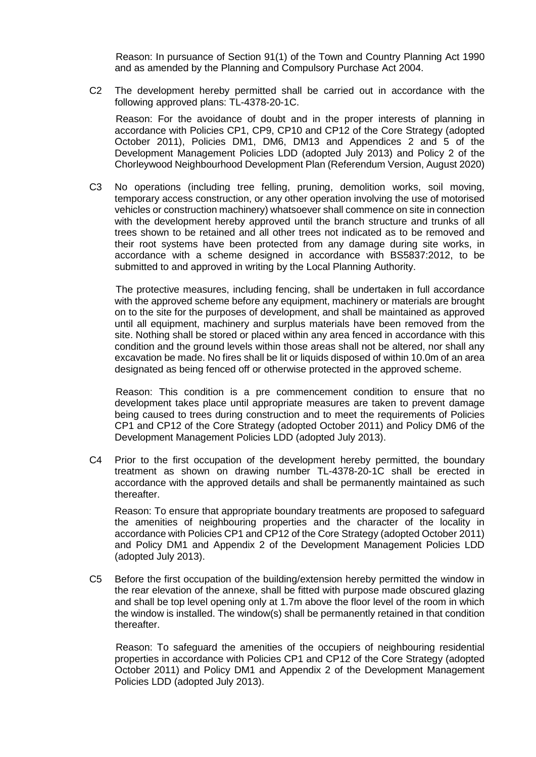Reason: In pursuance of Section 91(1) of the Town and Country Planning Act 1990 and as amended by the Planning and Compulsory Purchase Act 2004.

C2 The development hereby permitted shall be carried out in accordance with the following approved plans: TL-4378-20-1C.

Reason: For the avoidance of doubt and in the proper interests of planning in accordance with Policies CP1, CP9, CP10 and CP12 of the Core Strategy (adopted October 2011), Policies DM1, DM6, DM13 and Appendices 2 and 5 of the Development Management Policies LDD (adopted July 2013) and Policy 2 of the Chorleywood Neighbourhood Development Plan (Referendum Version, August 2020)

C3 No operations (including tree felling, pruning, demolition works, soil moving, temporary access construction, or any other operation involving the use of motorised vehicles or construction machinery) whatsoever shall commence on site in connection with the development hereby approved until the branch structure and trunks of all trees shown to be retained and all other trees not indicated as to be removed and their root systems have been protected from any damage during site works, in accordance with a scheme designed in accordance with BS5837:2012, to be submitted to and approved in writing by the Local Planning Authority.

The protective measures, including fencing, shall be undertaken in full accordance with the approved scheme before any equipment, machinery or materials are brought on to the site for the purposes of development, and shall be maintained as approved until all equipment, machinery and surplus materials have been removed from the site. Nothing shall be stored or placed within any area fenced in accordance with this condition and the ground levels within those areas shall not be altered, nor shall any excavation be made. No fires shall be lit or liquids disposed of within 10.0m of an area designated as being fenced off or otherwise protected in the approved scheme.

Reason: This condition is a pre commencement condition to ensure that no development takes place until appropriate measures are taken to prevent damage being caused to trees during construction and to meet the requirements of Policies CP1 and CP12 of the Core Strategy (adopted October 2011) and Policy DM6 of the Development Management Policies LDD (adopted July 2013).

C4 Prior to the first occupation of the development hereby permitted, the boundary treatment as shown on drawing number TL-4378-20-1C shall be erected in accordance with the approved details and shall be permanently maintained as such thereafter.

Reason: To ensure that appropriate boundary treatments are proposed to safeguard the amenities of neighbouring properties and the character of the locality in accordance with Policies CP1 and CP12 of the Core Strategy (adopted October 2011) and Policy DM1 and Appendix 2 of the Development Management Policies LDD (adopted July 2013).

C5 Before the first occupation of the building/extension hereby permitted the window in the rear elevation of the annexe, shall be fitted with purpose made obscured glazing and shall be top level opening only at 1.7m above the floor level of the room in which the window is installed. The window(s) shall be permanently retained in that condition thereafter.

Reason: To safeguard the amenities of the occupiers of neighbouring residential properties in accordance with Policies CP1 and CP12 of the Core Strategy (adopted October 2011) and Policy DM1 and Appendix 2 of the Development Management Policies LDD (adopted July 2013).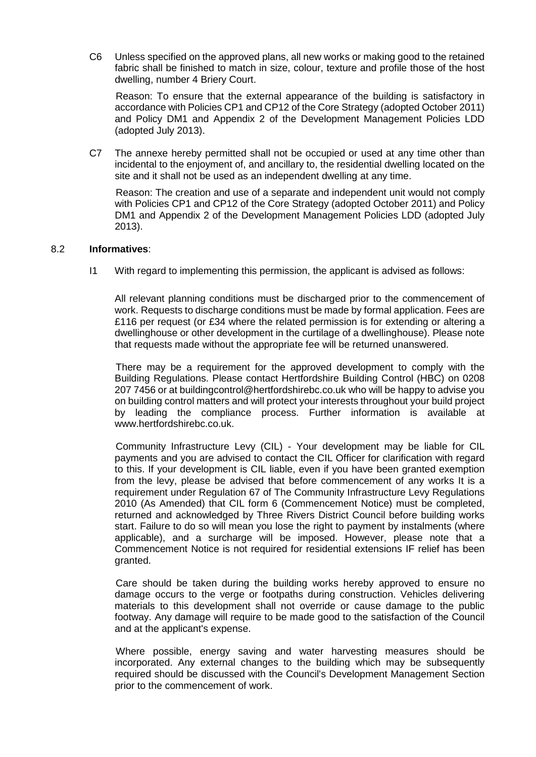C6 Unless specified on the approved plans, all new works or making good to the retained fabric shall be finished to match in size, colour, texture and profile those of the host dwelling, number 4 Briery Court.

Reason: To ensure that the external appearance of the building is satisfactory in accordance with Policies CP1 and CP12 of the Core Strategy (adopted October 2011) and Policy DM1 and Appendix 2 of the Development Management Policies LDD (adopted July 2013).

C7 The annexe hereby permitted shall not be occupied or used at any time other than incidental to the enjoyment of, and ancillary to, the residential dwelling located on the site and it shall not be used as an independent dwelling at any time.

Reason: The creation and use of a separate and independent unit would not comply with Policies CP1 and CP12 of the Core Strategy (adopted October 2011) and Policy DM1 and Appendix 2 of the Development Management Policies LDD (adopted July 2013).

#### 8.2 **Informatives**:

I1 With regard to implementing this permission, the applicant is advised as follows:

All relevant planning conditions must be discharged prior to the commencement of work. Requests to discharge conditions must be made by formal application. Fees are £116 per request (or £34 where the related permission is for extending or altering a dwellinghouse or other development in the curtilage of a dwellinghouse). Please note that requests made without the appropriate fee will be returned unanswered.

There may be a requirement for the approved development to comply with the Building Regulations. Please contact Hertfordshire Building Control (HBC) on 0208 207 7456 or at buildingcontrol@hertfordshirebc.co.uk who will be happy to advise you on building control matters and will protect your interests throughout your build project by leading the compliance process. Further information is available at www.hertfordshirebc.co.uk.

Community Infrastructure Levy (CIL) - Your development may be liable for CIL payments and you are advised to contact the CIL Officer for clarification with regard to this. If your development is CIL liable, even if you have been granted exemption from the levy, please be advised that before commencement of any works It is a requirement under Regulation 67 of The Community Infrastructure Levy Regulations 2010 (As Amended) that CIL form 6 (Commencement Notice) must be completed, returned and acknowledged by Three Rivers District Council before building works start. Failure to do so will mean you lose the right to payment by instalments (where applicable), and a surcharge will be imposed. However, please note that a Commencement Notice is not required for residential extensions IF relief has been granted.

Care should be taken during the building works hereby approved to ensure no damage occurs to the verge or footpaths during construction. Vehicles delivering materials to this development shall not override or cause damage to the public footway. Any damage will require to be made good to the satisfaction of the Council and at the applicant's expense.

Where possible, energy saving and water harvesting measures should be incorporated. Any external changes to the building which may be subsequently required should be discussed with the Council's Development Management Section prior to the commencement of work.